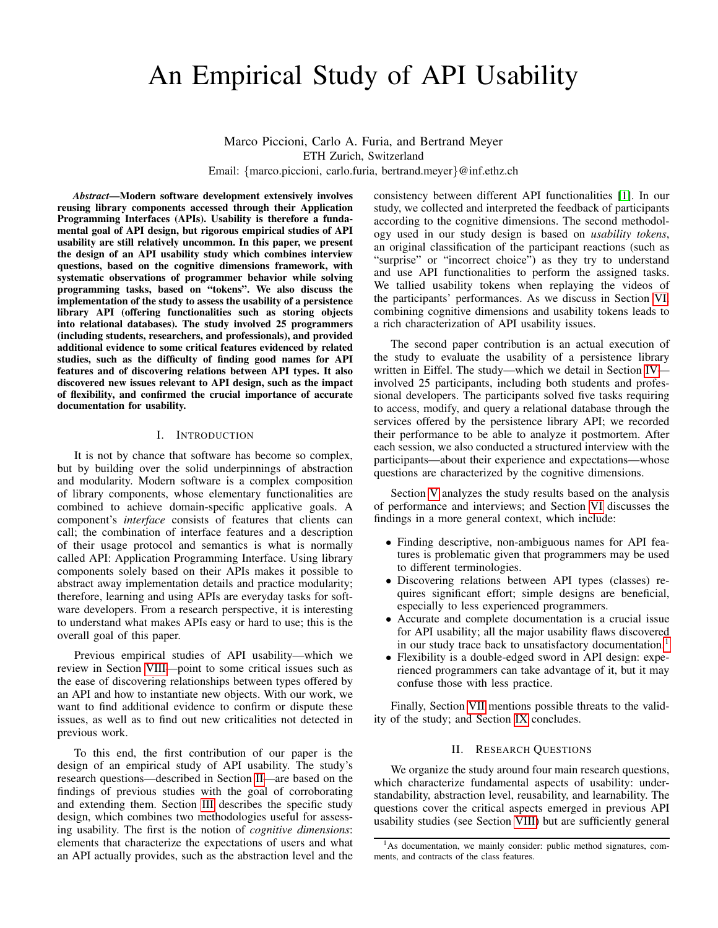# An Empirical Study of API Usability

Marco Piccioni, Carlo A. Furia, and Bertrand Meyer ETH Zurich, Switzerland Email: {marco.piccioni, carlo.furia, bertrand.meyer}@inf.ethz.ch

*Abstract*—Modern software development extensively involves reusing library components accessed through their Application Programming Interfaces (APIs). Usability is therefore a fundamental goal of API design, but rigorous empirical studies of API usability are still relatively uncommon. In this paper, we present the design of an API usability study which combines interview questions, based on the cognitive dimensions framework, with systematic observations of programmer behavior while solving programming tasks, based on "tokens". We also discuss the implementation of the study to assess the usability of a persistence library API (offering functionalities such as storing objects into relational databases). The study involved 25 programmers (including students, researchers, and professionals), and provided additional evidence to some critical features evidenced by related studies, such as the difficulty of finding good names for API features and of discovering relations between API types. It also discovered new issues relevant to API design, such as the impact of flexibility, and confirmed the crucial importance of accurate documentation for usability.

#### I. INTRODUCTION

It is not by chance that software has become so complex, but by building over the solid underpinnings of abstraction and modularity. Modern software is a complex composition of library components, whose elementary functionalities are combined to achieve domain-specific applicative goals. A component's *interface* consists of features that clients can call; the combination of interface features and a description of their usage protocol and semantics is what is normally called API: Application Programming Interface. Using library components solely based on their APIs makes it possible to abstract away implementation details and practice modularity; therefore, learning and using APIs are everyday tasks for software developers. From a research perspective, it is interesting to understand what makes APIs easy or hard to use; this is the overall goal of this paper.

Previous empirical studies of API usability—which we review in Section [VIII—](#page-8-0)point to some critical issues such as the ease of discovering relationships between types offered by an API and how to instantiate new objects. With our work, we want to find additional evidence to confirm or dispute these issues, as well as to find out new criticalities not detected in previous work.

To this end, the first contribution of our paper is the design of an empirical study of API usability. The study's research questions—described in Section [II—](#page-0-0)are based on the findings of previous studies with the goal of corroborating and extending them. Section [III](#page-1-0) describes the specific study design, which combines two methodologies useful for assessing usability. The first is the notion of *cognitive dimensions*: elements that characterize the expectations of users and what an API actually provides, such as the abstraction level and the consistency between different API functionalities [\[1\]](#page-9-0). In our study, we collected and interpreted the feedback of participants according to the cognitive dimensions. The second methodology used in our study design is based on *usability tokens*, an original classification of the participant reactions (such as "surprise" or "incorrect choice") as they try to understand and use API functionalities to perform the assigned tasks. We tallied usability tokens when replaying the videos of the participants' performances. As we discuss in Section [VI,](#page-6-0) combining cognitive dimensions and usability tokens leads to a rich characterization of API usability issues.

The second paper contribution is an actual execution of the study to evaluate the usability of a persistence library written in Eiffel. The study—which we detail in Section [IV](#page-2-0) involved 25 participants, including both students and professional developers. The participants solved five tasks requiring to access, modify, and query a relational database through the services offered by the persistence library API; we recorded their performance to be able to analyze it postmortem. After each session, we also conducted a structured interview with the participants—about their experience and expectations—whose questions are characterized by the cognitive dimensions.

Section [V](#page-3-0) analyzes the study results based on the analysis of performance and interviews; and Section [VI](#page-6-0) discusses the findings in a more general context, which include:

- Finding descriptive, non-ambiguous names for API features is problematic given that programmers may be used to different terminologies.
- Discovering relations between API types (classes) requires significant effort; simple designs are beneficial, especially to less experienced programmers.
- Accurate and complete documentation is a crucial issue for API usability; all the major usability flaws discovered in our study trace back to unsatisfactory documentation.<sup>[1](#page-0-1)</sup>
- Flexibility is a double-edged sword in API design: experienced programmers can take advantage of it, but it may confuse those with less practice.

Finally, Section [VII](#page-7-0) mentions possible threats to the validity of the study; and Section [IX](#page-8-1) concludes.

# II. RESEARCH QUESTIONS

<span id="page-0-0"></span>We organize the study around four main research questions, which characterize fundamental aspects of usability: understandability, abstraction level, reusability, and learnability. The questions cover the critical aspects emerged in previous API usability studies (see Section [VIII\)](#page-8-0) but are sufficiently general

<span id="page-0-1"></span><sup>&</sup>lt;sup>1</sup>As documentation, we mainly consider: public method signatures, comments, and contracts of the class features.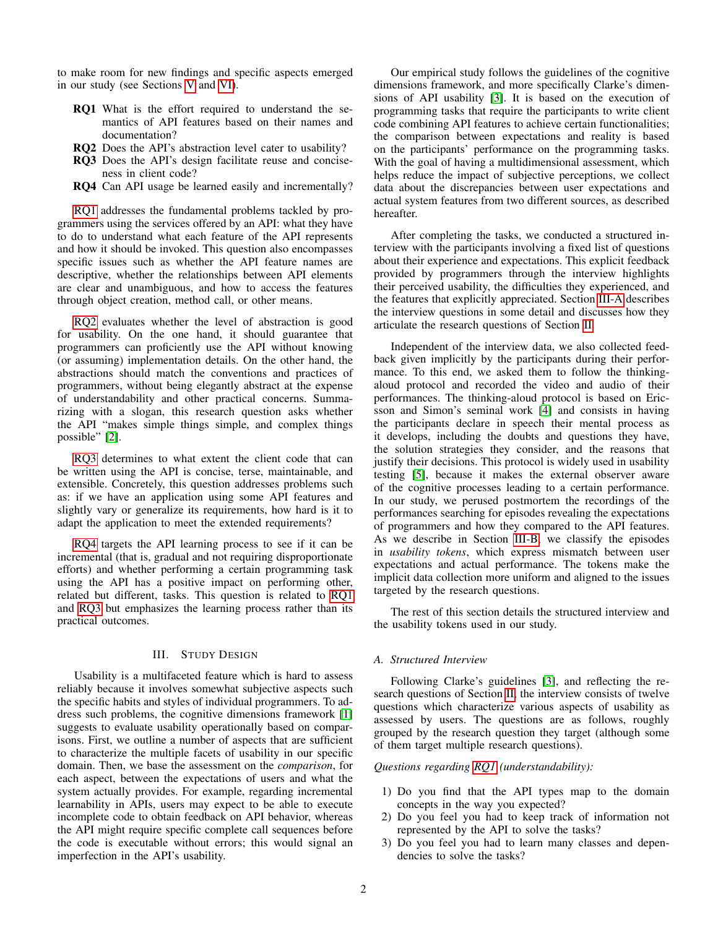to make room for new findings and specific aspects emerged in our study (see Sections [V](#page-3-0) and [VI\)](#page-6-0).

- <span id="page-1-1"></span>RQ1 What is the effort required to understand the semantics of API features based on their names and documentation?
- <span id="page-1-2"></span>RQ2 Does the API's abstraction level cater to usability?
- <span id="page-1-3"></span>RQ3 Does the API's design facilitate reuse and conciseness in client code?
- <span id="page-1-4"></span>RQ4 Can API usage be learned easily and incrementally?

[RQ1](#page-1-1) addresses the fundamental problems tackled by programmers using the services offered by an API: what they have to do to understand what each feature of the API represents and how it should be invoked. This question also encompasses specific issues such as whether the API feature names are descriptive, whether the relationships between API elements are clear and unambiguous, and how to access the features through object creation, method call, or other means.

[RQ2](#page-1-2) evaluates whether the level of abstraction is good for usability. On the one hand, it should guarantee that programmers can proficiently use the API without knowing (or assuming) implementation details. On the other hand, the abstractions should match the conventions and practices of programmers, without being elegantly abstract at the expense of understandability and other practical concerns. Summarizing with a slogan, this research question asks whether the API "makes simple things simple, and complex things possible" [\[2\]](#page-9-1).

[RQ3](#page-1-3) determines to what extent the client code that can be written using the API is concise, terse, maintainable, and extensible. Concretely, this question addresses problems such as: if we have an application using some API features and slightly vary or generalize its requirements, how hard is it to adapt the application to meet the extended requirements?

[RQ4](#page-1-4) targets the API learning process to see if it can be incremental (that is, gradual and not requiring disproportionate efforts) and whether performing a certain programming task using the API has a positive impact on performing other, related but different, tasks. This question is related to [RQ1](#page-1-1) and [RQ3](#page-1-3) but emphasizes the learning process rather than its practical outcomes.

#### III. STUDY DESIGN

<span id="page-1-0"></span>Usability is a multifaceted feature which is hard to assess reliably because it involves somewhat subjective aspects such the specific habits and styles of individual programmers. To address such problems, the cognitive dimensions framework [\[1\]](#page-9-0) suggests to evaluate usability operationally based on comparisons. First, we outline a number of aspects that are sufficient to characterize the multiple facets of usability in our specific domain. Then, we base the assessment on the *comparison*, for each aspect, between the expectations of users and what the system actually provides. For example, regarding incremental learnability in APIs, users may expect to be able to execute incomplete code to obtain feedback on API behavior, whereas the API might require specific complete call sequences before the code is executable without errors; this would signal an imperfection in the API's usability.

Our empirical study follows the guidelines of the cognitive dimensions framework, and more specifically Clarke's dimensions of API usability [\[3\]](#page-9-2). It is based on the execution of programming tasks that require the participants to write client code combining API features to achieve certain functionalities; the comparison between expectations and reality is based on the participants' performance on the programming tasks. With the goal of having a multidimensional assessment, which helps reduce the impact of subjective perceptions, we collect data about the discrepancies between user expectations and actual system features from two different sources, as described hereafter.

After completing the tasks, we conducted a structured interview with the participants involving a fixed list of questions about their experience and expectations. This explicit feedback provided by programmers through the interview highlights their perceived usability, the difficulties they experienced, and the features that explicitly appreciated. Section [III-A](#page-1-5) describes the interview questions in some detail and discusses how they articulate the research questions of Section [II.](#page-0-0)

Independent of the interview data, we also collected feedback given implicitly by the participants during their performance. To this end, we asked them to follow the thinkingaloud protocol and recorded the video and audio of their performances. The thinking-aloud protocol is based on Ericsson and Simon's seminal work [\[4\]](#page-9-3) and consists in having the participants declare in speech their mental process as it develops, including the doubts and questions they have, the solution strategies they consider, and the reasons that justify their decisions. This protocol is widely used in usability testing [\[5\]](#page-9-4), because it makes the external observer aware of the cognitive processes leading to a certain performance. In our study, we perused postmortem the recordings of the performances searching for episodes revealing the expectations of programmers and how they compared to the API features. As we describe in Section [III-B,](#page-2-1) we classify the episodes in *usability tokens*, which express mismatch between user expectations and actual performance. The tokens make the implicit data collection more uniform and aligned to the issues targeted by the research questions.

The rest of this section details the structured interview and the usability tokens used in our study.

#### <span id="page-1-5"></span>*A. Structured Interview*

Following Clarke's guidelines [\[3\]](#page-9-2), and reflecting the research questions of Section [II,](#page-0-0) the interview consists of twelve questions which characterize various aspects of usability as assessed by users. The questions are as follows, roughly grouped by the research question they target (although some of them target multiple research questions).

# *Questions regarding [RQ1](#page-1-1) (understandability):*

- <span id="page-1-6"></span>1) Do you find that the API types map to the domain concepts in the way you expected?
- <span id="page-1-7"></span>2) Do you feel you had to keep track of information not represented by the API to solve the tasks?
- <span id="page-1-8"></span>3) Do you feel you had to learn many classes and dependencies to solve the tasks?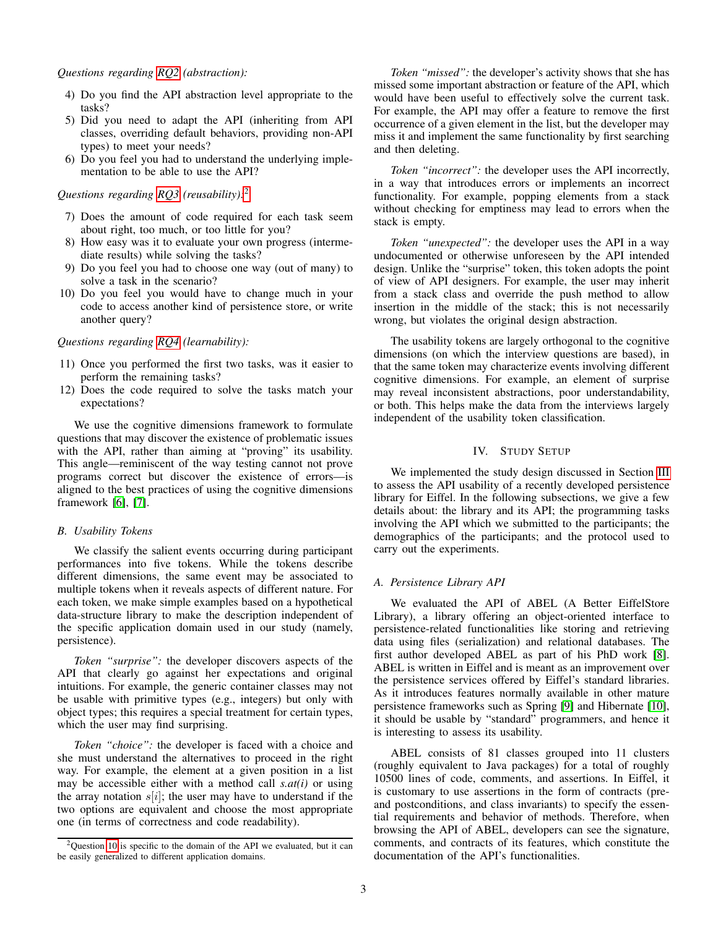# *Questions regarding [RQ2](#page-1-2) (abstraction):*

- <span id="page-2-4"></span>4) Do you find the API abstraction level appropriate to the tasks?
- <span id="page-2-5"></span>5) Did you need to adapt the API (inheriting from API classes, overriding default behaviors, providing non-API types) to meet your needs?
- <span id="page-2-6"></span>6) Do you feel you had to understand the underlying implementation to be able to use the API?

# *Questions regarding [RQ3](#page-1-3) (reusability):*[2](#page-2-2)

- <span id="page-2-7"></span>7) Does the amount of code required for each task seem about right, too much, or too little for you?
- <span id="page-2-8"></span>8) How easy was it to evaluate your own progress (intermediate results) while solving the tasks?
- <span id="page-2-9"></span>9) Do you feel you had to choose one way (out of many) to solve a task in the scenario?
- <span id="page-2-3"></span>10) Do you feel you would have to change much in your code to access another kind of persistence store, or write another query?

# *Questions regarding [RQ4](#page-1-4) (learnability):*

- <span id="page-2-10"></span>11) Once you performed the first two tasks, was it easier to perform the remaining tasks?
- <span id="page-2-11"></span>12) Does the code required to solve the tasks match your expectations?

We use the cognitive dimensions framework to formulate questions that may discover the existence of problematic issues with the API, rather than aiming at "proving" its usability. This angle—reminiscent of the way testing cannot not prove programs correct but discover the existence of errors—is aligned to the best practices of using the cognitive dimensions framework [\[6\]](#page-9-5), [\[7\]](#page-9-6).

#### <span id="page-2-1"></span>*B. Usability Tokens*

We classify the salient events occurring during participant performances into five tokens. While the tokens describe different dimensions, the same event may be associated to multiple tokens when it reveals aspects of different nature. For each token, we make simple examples based on a hypothetical data-structure library to make the description independent of the specific application domain used in our study (namely, persistence).

*Token "surprise":* the developer discovers aspects of the API that clearly go against her expectations and original intuitions. For example, the generic container classes may not be usable with primitive types (e.g., integers) but only with object types; this requires a special treatment for certain types, which the user may find surprising.

*Token "choice":* the developer is faced with a choice and she must understand the alternatives to proceed in the right way. For example, the element at a given position in a list may be accessible either with a method call *s.at(i)* or using the array notation  $s[i]$ ; the user may have to understand if the two options are equivalent and choose the most appropriate one (in terms of correctness and code readability).

*Token "missed":* the developer's activity shows that she has missed some important abstraction or feature of the API, which would have been useful to effectively solve the current task. For example, the API may offer a feature to remove the first occurrence of a given element in the list, but the developer may miss it and implement the same functionality by first searching and then deleting.

*Token "incorrect":* the developer uses the API incorrectly, in a way that introduces errors or implements an incorrect functionality. For example, popping elements from a stack without checking for emptiness may lead to errors when the stack is empty.

*Token "unexpected":* the developer uses the API in a way undocumented or otherwise unforeseen by the API intended design. Unlike the "surprise" token, this token adopts the point of view of API designers. For example, the user may inherit from a stack class and override the push method to allow insertion in the middle of the stack; this is not necessarily wrong, but violates the original design abstraction.

The usability tokens are largely orthogonal to the cognitive dimensions (on which the interview questions are based), in that the same token may characterize events involving different cognitive dimensions. For example, an element of surprise may reveal inconsistent abstractions, poor understandability, or both. This helps make the data from the interviews largely independent of the usability token classification.

# IV. STUDY SETUP

<span id="page-2-0"></span>We implemented the study design discussed in Section [III](#page-1-0) to assess the API usability of a recently developed persistence library for Eiffel. In the following subsections, we give a few details about: the library and its API; the programming tasks involving the API which we submitted to the participants; the demographics of the participants; and the protocol used to carry out the experiments.

# <span id="page-2-12"></span>*A. Persistence Library API*

We evaluated the API of ABEL (A Better EiffelStore Library), a library offering an object-oriented interface to persistence-related functionalities like storing and retrieving data using files (serialization) and relational databases. The first author developed ABEL as part of his PhD work [\[8\]](#page-9-7). ABEL is written in Eiffel and is meant as an improvement over the persistence services offered by Eiffel's standard libraries. As it introduces features normally available in other mature persistence frameworks such as Spring [\[9\]](#page-9-8) and Hibernate [\[10\]](#page-9-9), it should be usable by "standard" programmers, and hence it is interesting to assess its usability.

ABEL consists of 81 classes grouped into 11 clusters (roughly equivalent to Java packages) for a total of roughly 10500 lines of code, comments, and assertions. In Eiffel, it is customary to use assertions in the form of contracts (preand postconditions, and class invariants) to specify the essential requirements and behavior of methods. Therefore, when browsing the API of ABEL, developers can see the signature, comments, and contracts of its features, which constitute the documentation of the API's functionalities.

<span id="page-2-2"></span> $2$ Question [10](#page-2-3) is specific to the domain of the API we evaluated, but it can be easily generalized to different application domains.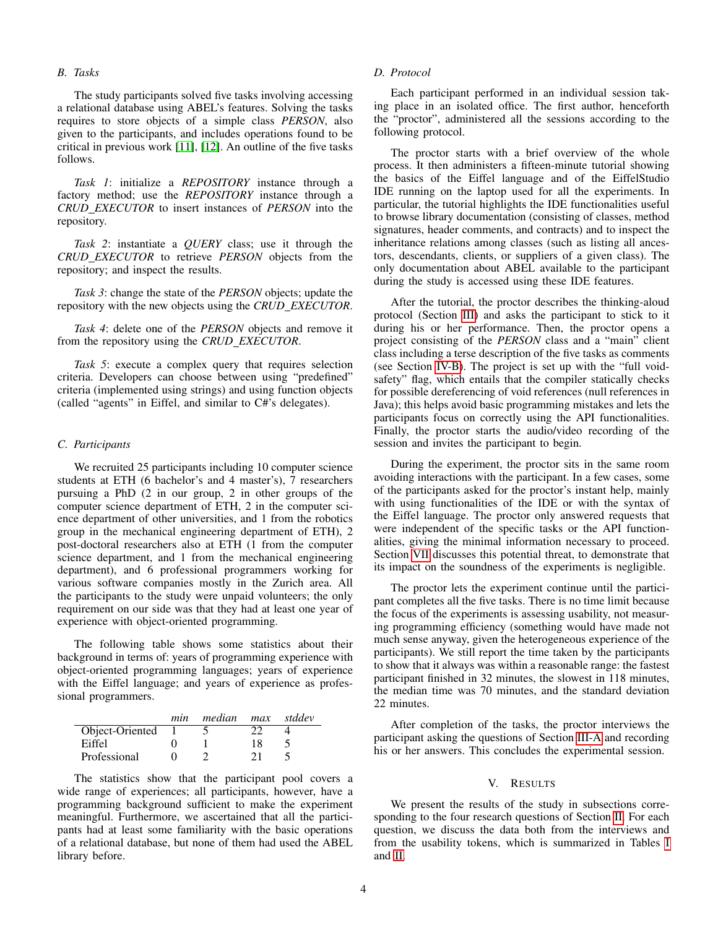# <span id="page-3-1"></span>*B. Tasks*

The study participants solved five tasks involving accessing a relational database using ABEL's features. Solving the tasks requires to store objects of a simple class *PERSON*, also given to the participants, and includes operations found to be critical in previous work [\[11\]](#page-9-10), [\[12\]](#page-9-11). An outline of the five tasks follows.

*Task 1*: initialize a *REPOSITORY* instance through a factory method; use the *REPOSITORY* instance through a *CRUD EXECUTOR* to insert instances of *PERSON* into the repository.

*Task 2*: instantiate a *QUERY* class; use it through the *CRUD EXECUTOR* to retrieve *PERSON* objects from the repository; and inspect the results.

*Task 3*: change the state of the *PERSON* objects; update the repository with the new objects using the *CRUD EXECUTOR*.

*Task 4*: delete one of the *PERSON* objects and remove it from the repository using the *CRUD EXECUTOR*.

*Task 5*: execute a complex query that requires selection criteria. Developers can choose between using "predefined" criteria (implemented using strings) and using function objects (called "agents" in Eiffel, and similar to C#'s delegates).

#### <span id="page-3-2"></span>*C. Participants*

We recruited 25 participants including 10 computer science students at ETH (6 bachelor's and 4 master's), 7 researchers pursuing a PhD (2 in our group, 2 in other groups of the computer science department of ETH, 2 in the computer science department of other universities, and 1 from the robotics group in the mechanical engineering department of ETH), 2 post-doctoral researchers also at ETH (1 from the computer science department, and 1 from the mechanical engineering department), and 6 professional programmers working for various software companies mostly in the Zurich area. All the participants to the study were unpaid volunteers; the only requirement on our side was that they had at least one year of experience with object-oriented programming.

The following table shows some statistics about their background in terms of: years of programming experience with object-oriented programming languages; years of experience with the Eiffel language; and years of experience as professional programmers.

|                 | min | median max stddev |    |  |
|-----------------|-----|-------------------|----|--|
| Object-Oriented |     |                   |    |  |
| Eiffel          |     |                   | 18 |  |
| Professional    |     |                   |    |  |

The statistics show that the participant pool covers a wide range of experiences; all participants, however, have a programming background sufficient to make the experiment meaningful. Furthermore, we ascertained that all the participants had at least some familiarity with the basic operations of a relational database, but none of them had used the ABEL library before.

#### <span id="page-3-3"></span>*D. Protocol*

Each participant performed in an individual session taking place in an isolated office. The first author, henceforth the "proctor", administered all the sessions according to the following protocol.

The proctor starts with a brief overview of the whole process. It then administers a fifteen-minute tutorial showing the basics of the Eiffel language and of the EiffelStudio IDE running on the laptop used for all the experiments. In particular, the tutorial highlights the IDE functionalities useful to browse library documentation (consisting of classes, method signatures, header comments, and contracts) and to inspect the inheritance relations among classes (such as listing all ancestors, descendants, clients, or suppliers of a given class). The only documentation about ABEL available to the participant during the study is accessed using these IDE features.

After the tutorial, the proctor describes the thinking-aloud protocol (Section [III\)](#page-1-0) and asks the participant to stick to it during his or her performance. Then, the proctor opens a project consisting of the *PERSON* class and a "main" client class including a terse description of the five tasks as comments (see Section [IV-B\)](#page-3-1). The project is set up with the "full voidsafety" flag, which entails that the compiler statically checks for possible dereferencing of void references (null references in Java); this helps avoid basic programming mistakes and lets the participants focus on correctly using the API functionalities. Finally, the proctor starts the audio/video recording of the session and invites the participant to begin.

During the experiment, the proctor sits in the same room avoiding interactions with the participant. In a few cases, some of the participants asked for the proctor's instant help, mainly with using functionalities of the IDE or with the syntax of the Eiffel language. The proctor only answered requests that were independent of the specific tasks or the API functionalities, giving the minimal information necessary to proceed. Section [VII](#page-7-0) discusses this potential threat, to demonstrate that its impact on the soundness of the experiments is negligible.

The proctor lets the experiment continue until the participant completes all the five tasks. There is no time limit because the focus of the experiments is assessing usability, not measuring programming efficiency (something would have made not much sense anyway, given the heterogeneous experience of the participants). We still report the time taken by the participants to show that it always was within a reasonable range: the fastest participant finished in 32 minutes, the slowest in 118 minutes, the median time was 70 minutes, and the standard deviation 22 minutes.

After completion of the tasks, the proctor interviews the participant asking the questions of Section [III-A](#page-1-5) and recording his or her answers. This concludes the experimental session.

#### V. RESULTS

<span id="page-3-0"></span>We present the results of the study in subsections corresponding to the four research questions of Section [II.](#page-0-0) For each question, we discuss the data both from the interviews and from the usability tokens, which is summarized in Tables [I](#page-4-0) and [II.](#page-5-0)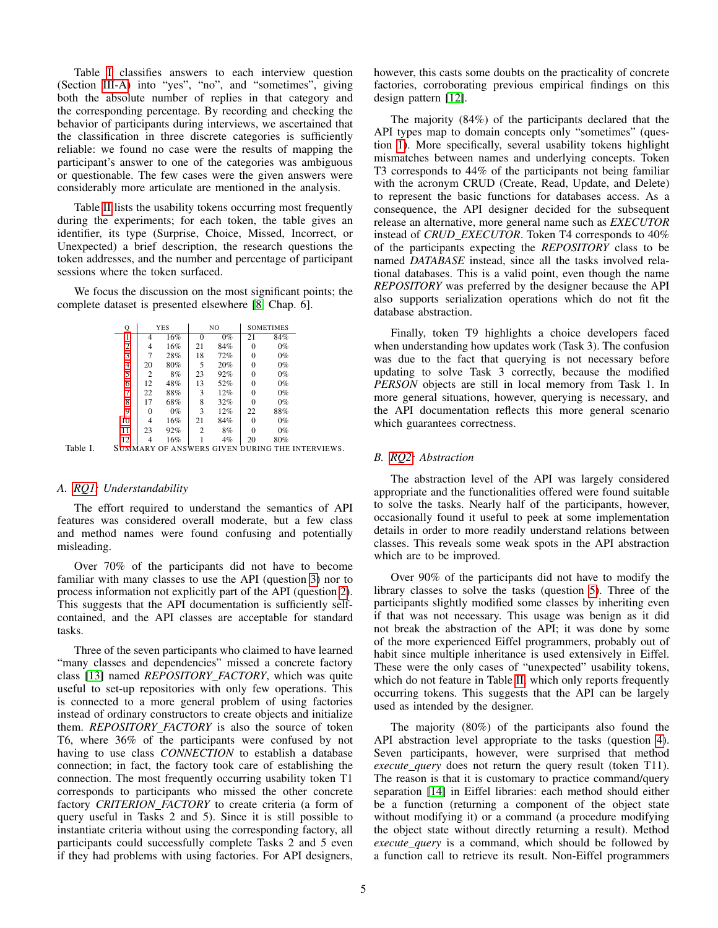Table [I](#page-4-0) classifies answers to each interview question (Section [III-A\)](#page-1-5) into "yes", "no", and "sometimes", giving both the absolute number of replies in that category and the corresponding percentage. By recording and checking the behavior of participants during interviews, we ascertained that the classification in three discrete categories is sufficiently reliable: we found no case were the results of mapping the participant's answer to one of the categories was ambiguous or questionable. The few cases were the given answers were considerably more articulate are mentioned in the analysis.

Table [II](#page-5-0) lists the usability tokens occurring most frequently during the experiments; for each token, the table gives an identifier, its type (Surprise, Choice, Missed, Incorrect, or Unexpected) a brief description, the research questions the token addresses, and the number and percentage of participant sessions where the token surfaced.

We focus the discussion on the most significant points; the complete dataset is presented elsewhere [\[8,](#page-9-7) Chap. 6].

| Q              | <b>YES</b> |       | N <sub>O</sub> |       | <b>SOMETIMES</b> |       |  |
|----------------|------------|-------|----------------|-------|------------------|-------|--|
|                | 4          | 16%   | $\theta$       | $0\%$ | 21               | 84%   |  |
| $\overline{c}$ | 4          | 16%   | 21             | 84%   | 0                | $0\%$ |  |
| 3              | 7          | 28%   | 18             | 72%   | 0                | $0\%$ |  |
| $\overline{4}$ | 20         | 80%   | 5              | 20%   | 0                | $0\%$ |  |
| 5              | 2          | 8%    | 23             | 92%   | 0                | $0\%$ |  |
| 6              | 12         | 48%   | 13             | 52%   | $\theta$         | $0\%$ |  |
| 7              | 22         | 88%   | 3              | 12%   | $\Omega$         | $0\%$ |  |
| 8              | 17         | 68%   | 8              | 32%   | $\Omega$         | $0\%$ |  |
| 9              | $\Omega$   | $0\%$ | 3              | 12%   | 22               | 88%   |  |
| 10             | 4          | 16%   | 21             | 84%   | 0                | $0\%$ |  |
| 11             | 23         | 92%   | 2              | 8%    | $\Omega$         | $0\%$ |  |
| 12             | 4          | 16%   |                | 4%    | 20               | 80%   |  |
| $\alpha$       |            | .     |                |       |                  |       |  |

<span id="page-4-0"></span>Table I. SUMMARY OF ANSWERS GIVEN DURING THE INTERVIEWS.

#### *A. [RQ1:](#page-1-1) Understandability*

The effort required to understand the semantics of API features was considered overall moderate, but a few class and method names were found confusing and potentially misleading.

Over 70% of the participants did not have to become familiar with many classes to use the API (question [3\)](#page-1-8) nor to process information not explicitly part of the API (question [2\)](#page-1-7). This suggests that the API documentation is sufficiently selfcontained, and the API classes are acceptable for standard tasks.

Three of the seven participants who claimed to have learned "many classes and dependencies" missed a concrete factory class [\[13\]](#page-9-12) named *REPOSITORY FACTORY*, which was quite useful to set-up repositories with only few operations. This is connected to a more general problem of using factories instead of ordinary constructors to create objects and initialize them. *REPOSITORY FACTORY* is also the source of token T6, where 36% of the participants were confused by not having to use class *CONNECTION* to establish a database connection; in fact, the factory took care of establishing the connection. The most frequently occurring usability token T1 corresponds to participants who missed the other concrete factory *CRITERION\_FACTORY* to create criteria (a form of query useful in Tasks 2 and 5). Since it is still possible to instantiate criteria without using the corresponding factory, all participants could successfully complete Tasks 2 and 5 even if they had problems with using factories. For API designers, however, this casts some doubts on the practicality of concrete factories, corroborating previous empirical findings on this design pattern [\[12\]](#page-9-11).

The majority (84%) of the participants declared that the API types map to domain concepts only "sometimes" (question [1\)](#page-1-6). More specifically, several usability tokens highlight mismatches between names and underlying concepts. Token T3 corresponds to 44% of the participants not being familiar with the acronym CRUD (Create, Read, Update, and Delete) to represent the basic functions for databases access. As a consequence, the API designer decided for the subsequent release an alternative, more general name such as *EXECUTOR* instead of *CRUD EXECUTOR*. Token T4 corresponds to 40% of the participants expecting the *REPOSITORY* class to be named *DATABASE* instead, since all the tasks involved relational databases. This is a valid point, even though the name *REPOSITORY* was preferred by the designer because the API also supports serialization operations which do not fit the database abstraction.

Finally, token T9 highlights a choice developers faced when understanding how updates work (Task 3). The confusion was due to the fact that querying is not necessary before updating to solve Task 3 correctly, because the modified *PERSON* objects are still in local memory from Task 1. In more general situations, however, querying is necessary, and the API documentation reflects this more general scenario which guarantees correctness.

# <span id="page-4-1"></span>*B. [RQ2:](#page-1-2) Abstraction*

The abstraction level of the API was largely considered appropriate and the functionalities offered were found suitable to solve the tasks. Nearly half of the participants, however, occasionally found it useful to peek at some implementation details in order to more readily understand relations between classes. This reveals some weak spots in the API abstraction which are to be improved.

Over 90% of the participants did not have to modify the library classes to solve the tasks (question [5\)](#page-2-5). Three of the participants slightly modified some classes by inheriting even if that was not necessary. This usage was benign as it did not break the abstraction of the API; it was done by some of the more experienced Eiffel programmers, probably out of habit since multiple inheritance is used extensively in Eiffel. These were the only cases of "unexpected" usability tokens, which do not feature in Table [II,](#page-5-0) which only reports frequently occurring tokens. This suggests that the API can be largely used as intended by the designer.

The majority (80%) of the participants also found the API abstraction level appropriate to the tasks (question [4\)](#page-2-4). Seven participants, however, were surprised that method *execute\_query* does not return the query result (token T11). The reason is that it is customary to practice command/query separation [\[14\]](#page-9-13) in Eiffel libraries: each method should either be a function (returning a component of the object state without modifying it) or a command (a procedure modifying the object state without directly returning a result). Method *execute\_query* is a command, which should be followed by a function call to retrieve its result. Non-Eiffel programmers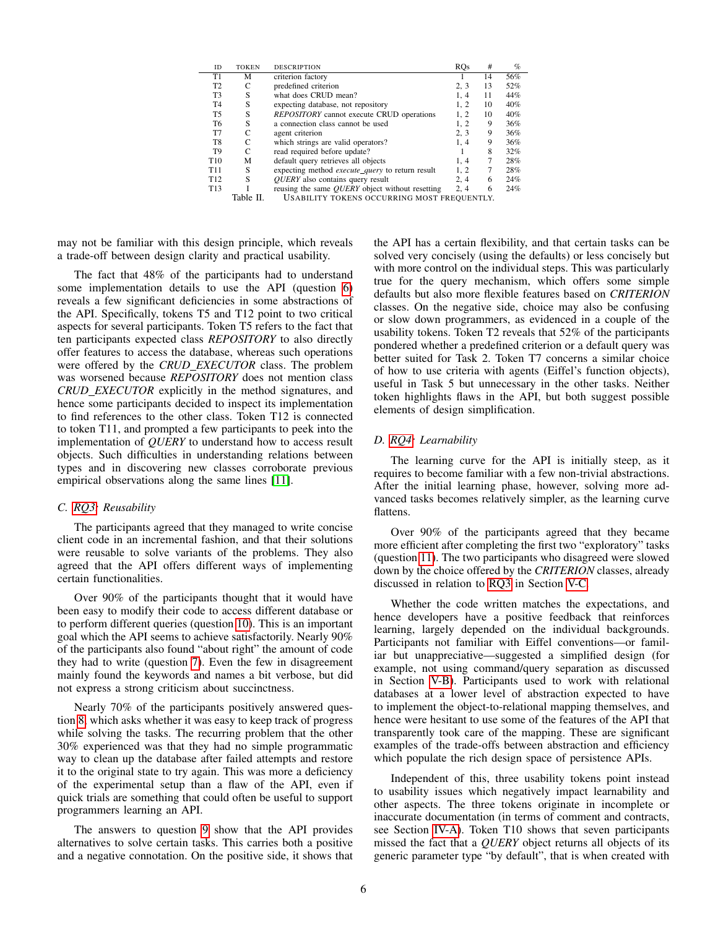| ID              | TOKEN     | <b>DESCRIPTION</b>                                     | ROs  | #  | $\%$ |
|-----------------|-----------|--------------------------------------------------------|------|----|------|
| T1              | М         | criterion factory                                      |      | 14 | 56%  |
| T <sub>2</sub>  | C         | predefined criterion                                   | 2, 3 | 13 | 52%  |
| T3              | S         | what does CRUD mean?                                   | 1, 4 | 11 | 44%  |
| T <sub>4</sub>  | S         | expecting database, not repository                     | 1, 2 | 10 | 40%  |
| T5              | S         | REPOSITORY cannot execute CRUD operations              | 1, 2 | 10 | 40%  |
| Т6              | S         | a connection class cannot be used                      | 1, 2 | 9  | 36%  |
| T7              | C         | agent criterion                                        | 2, 3 | 9  | 36%  |
| T8              | C         | which strings are valid operators?                     | 1, 4 | 9  | 36%  |
| T9              | C         | read required before update?                           |      | 8  | 32%  |
| T <sub>10</sub> | М         | default query retrieves all objects                    | 1, 4 | 7  | 28%  |
| T <sub>11</sub> | S         | expecting method execute_query to return result        | 1, 2 | 7  | 28%  |
| T <sub>12</sub> | S         | OUERY also contains query result                       | 2, 4 | 6  | 24%  |
| T <sub>13</sub> |           | reusing the same <i>QUERY</i> object without resetting | 2, 4 | 6  | 24%  |
|                 | Table II. | USABILITY TOKENS OCCURRING MOST FREQUENTLY.            |      |    |      |

may not be familiar with this design principle, which reveals a trade-off between design clarity and practical usability.

The fact that 48% of the participants had to understand some implementation details to use the API (question [6\)](#page-2-6) reveals a few significant deficiencies in some abstractions of the API. Specifically, tokens T5 and T12 point to two critical aspects for several participants. Token T5 refers to the fact that ten participants expected class *REPOSITORY* to also directly offer features to access the database, whereas such operations were offered by the *CRUD EXECUTOR* class. The problem was worsened because *REPOSITORY* does not mention class *CRUD EXECUTOR* explicitly in the method signatures, and hence some participants decided to inspect its implementation to find references to the other class. Token T12 is connected to token T11, and prompted a few participants to peek into the implementation of *QUERY* to understand how to access result objects. Such difficulties in understanding relations between types and in discovering new classes corroborate previous empirical observations along the same lines [\[11\]](#page-9-10).

# <span id="page-5-1"></span>*C. [RQ3:](#page-1-3) Reusability*

The participants agreed that they managed to write concise client code in an incremental fashion, and that their solutions were reusable to solve variants of the problems. They also agreed that the API offers different ways of implementing certain functionalities.

Over 90% of the participants thought that it would have been easy to modify their code to access different database or to perform different queries (question [10\)](#page-2-3). This is an important goal which the API seems to achieve satisfactorily. Nearly 90% of the participants also found "about right" the amount of code they had to write (question [7\)](#page-2-7). Even the few in disagreement mainly found the keywords and names a bit verbose, but did not express a strong criticism about succinctness.

Nearly 70% of the participants positively answered question [8,](#page-2-8) which asks whether it was easy to keep track of progress while solving the tasks. The recurring problem that the other 30% experienced was that they had no simple programmatic way to clean up the database after failed attempts and restore it to the original state to try again. This was more a deficiency of the experimental setup than a flaw of the API, even if quick trials are something that could often be useful to support programmers learning an API.

The answers to question [9](#page-2-9) show that the API provides alternatives to solve certain tasks. This carries both a positive and a negative connotation. On the positive side, it shows that <span id="page-5-0"></span>the API has a certain flexibility, and that certain tasks can be solved very concisely (using the defaults) or less concisely but with more control on the individual steps. This was particularly true for the query mechanism, which offers some simple defaults but also more flexible features based on *CRITERION* classes. On the negative side, choice may also be confusing or slow down programmers, as evidenced in a couple of the usability tokens. Token T2 reveals that 52% of the participants pondered whether a predefined criterion or a default query was better suited for Task 2. Token T7 concerns a similar choice of how to use criteria with agents (Eiffel's function objects), useful in Task 5 but unnecessary in the other tasks. Neither token highlights flaws in the API, but both suggest possible elements of design simplification.

## <span id="page-5-2"></span>*D. [RQ4:](#page-1-4) Learnability*

The learning curve for the API is initially steep, as it requires to become familiar with a few non-trivial abstractions. After the initial learning phase, however, solving more advanced tasks becomes relatively simpler, as the learning curve flattens.

Over 90% of the participants agreed that they became more efficient after completing the first two "exploratory" tasks (question [11\)](#page-2-10). The two participants who disagreed were slowed down by the choice offered by the *CRITERION* classes, already discussed in relation to [RQ3](#page-1-3) in Section [V-C.](#page-5-1)

Whether the code written matches the expectations, and hence developers have a positive feedback that reinforces learning, largely depended on the individual backgrounds. Participants not familiar with Eiffel conventions—or familiar but unappreciative—suggested a simplified design (for example, not using command/query separation as discussed in Section [V-B\)](#page-4-1). Participants used to work with relational databases at a lower level of abstraction expected to have to implement the object-to-relational mapping themselves, and hence were hesitant to use some of the features of the API that transparently took care of the mapping. These are significant examples of the trade-offs between abstraction and efficiency which populate the rich design space of persistence APIs.

Independent of this, three usability tokens point instead to usability issues which negatively impact learnability and other aspects. The three tokens originate in incomplete or inaccurate documentation (in terms of comment and contracts, see Section [IV-A\)](#page-2-12). Token T10 shows that seven participants missed the fact that a *QUERY* object returns all objects of its generic parameter type "by default", that is when created with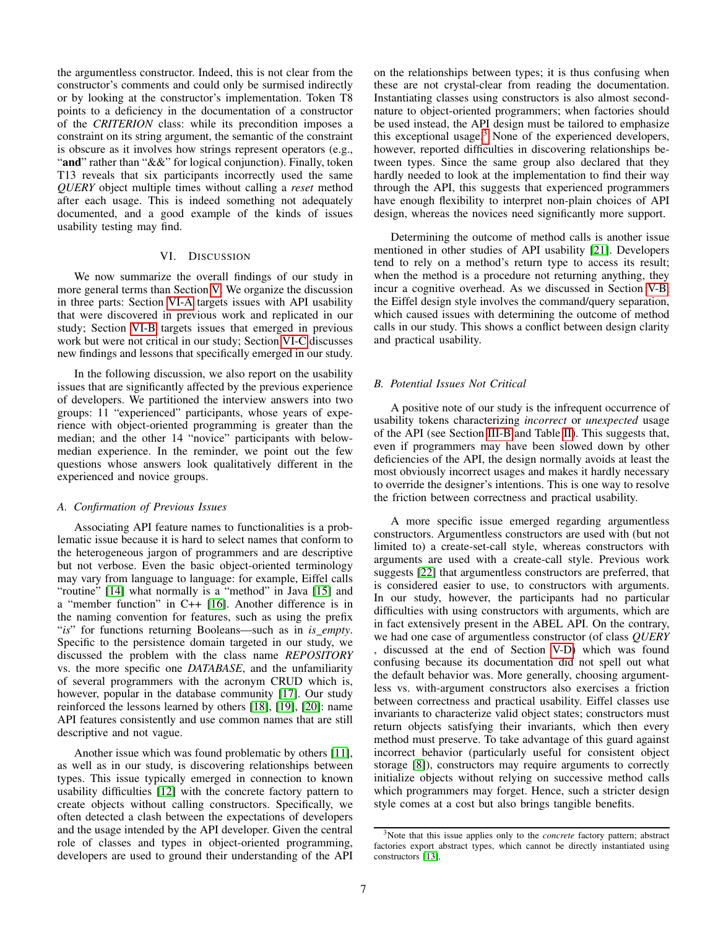the argumentless constructor. Indeed, this is not clear from the constructor's comments and could only be surmised indirectly or by looking at the constructor's implementation. Token T8 points to a deficiency in the documentation of a constructor of the *CRITERION* class: while its precondition imposes a constraint on its string argument, the semantic of the constraint is obscure as it involves how strings represent operators (e.g., "and" rather than "&&" for logical conjunction). Finally, token T13 reveals that six participants incorrectly used the same *QUERY* object multiple times without calling a *reset* method after each usage. This is indeed something not adequately documented, and a good example of the kinds of issues usability testing may find.

## VI. DISCUSSION

<span id="page-6-0"></span>We now summarize the overall findings of our study in more general terms than Section [V.](#page-3-0) We organize the discussion in three parts: Section [VI-A](#page-6-1) targets issues with API usability that were discovered in previous work and replicated in our study; Section [VI-B](#page-6-2) targets issues that emerged in previous work but were not critical in our study; Section [VI-C](#page-7-1) discusses new findings and lessons that specifically emerged in our study.

In the following discussion, we also report on the usability issues that are significantly affected by the previous experience of developers. We partitioned the interview answers into two groups: 11 "experienced" participants, whose years of experience with object-oriented programming is greater than the median; and the other 14 "novice" participants with belowmedian experience. In the reminder, we point out the few questions whose answers look qualitatively different in the experienced and novice groups.

#### <span id="page-6-1"></span>*A. Confirmation of Previous Issues*

Associating API feature names to functionalities is a problematic issue because it is hard to select names that conform to the heterogeneous jargon of programmers and are descriptive but not verbose. Even the basic object-oriented terminology may vary from language to language: for example, Eiffel calls "routine" [\[14\]](#page-9-13) what normally is a "method" in Java [\[15\]](#page-9-14) and a "member function" in C++ [\[16\]](#page-9-15). Another difference is in the naming convention for features, such as using the prefix "*is*" for functions returning Booleans—such as in *is empty*. Specific to the persistence domain targeted in our study, we discussed the problem with the class name *REPOSITORY* vs. the more specific one *DATABASE*, and the unfamiliarity of several programmers with the acronym CRUD which is, however, popular in the database community [\[17\]](#page-9-16). Our study reinforced the lessons learned by others [\[18\]](#page-9-17), [\[19\]](#page-9-18), [\[20\]](#page-9-19): name API features consistently and use common names that are still descriptive and not vague.

Another issue which was found problematic by others [\[11\]](#page-9-10), as well as in our study, is discovering relationships between types. This issue typically emerged in connection to known usability difficulties [\[12\]](#page-9-11) with the concrete factory pattern to create objects without calling constructors. Specifically, we often detected a clash between the expectations of developers and the usage intended by the API developer. Given the central role of classes and types in object-oriented programming, developers are used to ground their understanding of the API on the relationships between types; it is thus confusing when these are not crystal-clear from reading the documentation. Instantiating classes using constructors is also almost secondnature to object-oriented programmers; when factories should be used instead, the API design must be tailored to emphasize this exceptional usage.<sup>[3](#page-6-3)</sup> None of the experienced developers, however, reported difficulties in discovering relationships between types. Since the same group also declared that they hardly needed to look at the implementation to find their way through the API, this suggests that experienced programmers have enough flexibility to interpret non-plain choices of API design, whereas the novices need significantly more support.

Determining the outcome of method calls is another issue mentioned in other studies of API usability [\[21\]](#page-9-20). Developers tend to rely on a method's return type to access its result; when the method is a procedure not returning anything, they incur a cognitive overhead. As we discussed in Section [V-B,](#page-4-1) the Eiffel design style involves the command/query separation, which caused issues with determining the outcome of method calls in our study. This shows a conflict between design clarity and practical usability.

## <span id="page-6-2"></span>*B. Potential Issues Not Critical*

A positive note of our study is the infrequent occurrence of usability tokens characterizing *incorrect* or *unexpected* usage of the API (see Section [III-B](#page-2-1) and Table [II\)](#page-5-0). This suggests that, even if programmers may have been slowed down by other deficiencies of the API, the design normally avoids at least the most obviously incorrect usages and makes it hardly necessary to override the designer's intentions. This is one way to resolve the friction between correctness and practical usability.

A more specific issue emerged regarding argumentless constructors. Argumentless constructors are used with (but not limited to) a create-set-call style, whereas constructors with arguments are used with a create-call style. Previous work suggests [\[22\]](#page-9-21) that argumentless constructors are preferred, that is considered easier to use, to constructors with arguments. In our study, however, the participants had no particular difficulties with using constructors with arguments, which are in fact extensively present in the ABEL API. On the contrary, we had one case of argumentless constructor (of class *QUERY* , discussed at the end of Section [V-D\)](#page-5-2) which was found confusing because its documentation did not spell out what the default behavior was. More generally, choosing argumentless vs. with-argument constructors also exercises a friction between correctness and practical usability. Eiffel classes use invariants to characterize valid object states; constructors must return objects satisfying their invariants, which then every method must preserve. To take advantage of this guard against incorrect behavior (particularly useful for consistent object storage [\[8\]](#page-9-7)), constructors may require arguments to correctly initialize objects without relying on successive method calls which programmers may forget. Hence, such a stricter design style comes at a cost but also brings tangible benefits.

<span id="page-6-3"></span><sup>3</sup>Note that this issue applies only to the *concrete* factory pattern; abstract factories export abstract types, which cannot be directly instantiated using constructors [\[13\]](#page-9-12).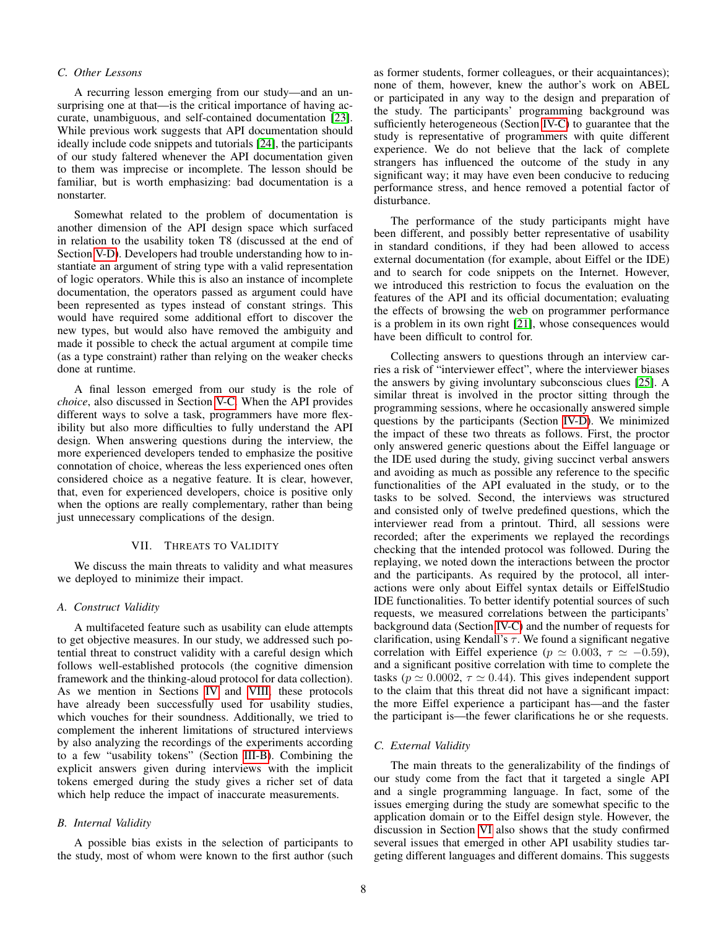# <span id="page-7-1"></span>*C. Other Lessons*

A recurring lesson emerging from our study—and an unsurprising one at that—is the critical importance of having accurate, unambiguous, and self-contained documentation [\[23\]](#page-9-22). While previous work suggests that API documentation should ideally include code snippets and tutorials [\[24\]](#page-9-23), the participants of our study faltered whenever the API documentation given to them was imprecise or incomplete. The lesson should be familiar, but is worth emphasizing: bad documentation is a nonstarter.

Somewhat related to the problem of documentation is another dimension of the API design space which surfaced in relation to the usability token T8 (discussed at the end of Section [V-D\)](#page-5-2). Developers had trouble understanding how to instantiate an argument of string type with a valid representation of logic operators. While this is also an instance of incomplete documentation, the operators passed as argument could have been represented as types instead of constant strings. This would have required some additional effort to discover the new types, but would also have removed the ambiguity and made it possible to check the actual argument at compile time (as a type constraint) rather than relying on the weaker checks done at runtime.

A final lesson emerged from our study is the role of *choice*, also discussed in Section [V-C.](#page-5-1) When the API provides different ways to solve a task, programmers have more flexibility but also more difficulties to fully understand the API design. When answering questions during the interview, the more experienced developers tended to emphasize the positive connotation of choice, whereas the less experienced ones often considered choice as a negative feature. It is clear, however, that, even for experienced developers, choice is positive only when the options are really complementary, rather than being just unnecessary complications of the design.

# VII. THREATS TO VALIDITY

<span id="page-7-0"></span>We discuss the main threats to validity and what measures we deployed to minimize their impact.

#### *A. Construct Validity*

A multifaceted feature such as usability can elude attempts to get objective measures. In our study, we addressed such potential threat to construct validity with a careful design which follows well-established protocols (the cognitive dimension framework and the thinking-aloud protocol for data collection). As we mention in Sections [IV](#page-2-0) and [VIII,](#page-8-0) these protocols have already been successfully used for usability studies, which vouches for their soundness. Additionally, we tried to complement the inherent limitations of structured interviews by also analyzing the recordings of the experiments according to a few "usability tokens" (Section [III-B\)](#page-2-1). Combining the explicit answers given during interviews with the implicit tokens emerged during the study gives a richer set of data which help reduce the impact of inaccurate measurements.

## *B. Internal Validity*

A possible bias exists in the selection of participants to the study, most of whom were known to the first author (such as former students, former colleagues, or their acquaintances); none of them, however, knew the author's work on ABEL or participated in any way to the design and preparation of the study. The participants' programming background was sufficiently heterogeneous (Section [IV-C\)](#page-3-2) to guarantee that the study is representative of programmers with quite different experience. We do not believe that the lack of complete strangers has influenced the outcome of the study in any significant way; it may have even been conducive to reducing performance stress, and hence removed a potential factor of disturbance.

The performance of the study participants might have been different, and possibly better representative of usability in standard conditions, if they had been allowed to access external documentation (for example, about Eiffel or the IDE) and to search for code snippets on the Internet. However, we introduced this restriction to focus the evaluation on the features of the API and its official documentation; evaluating the effects of browsing the web on programmer performance is a problem in its own right [\[21\]](#page-9-20), whose consequences would have been difficult to control for.

Collecting answers to questions through an interview carries a risk of "interviewer effect", where the interviewer biases the answers by giving involuntary subconscious clues [\[25\]](#page-9-24). A similar threat is involved in the proctor sitting through the programming sessions, where he occasionally answered simple questions by the participants (Section [IV-D\)](#page-3-3). We minimized the impact of these two threats as follows. First, the proctor only answered generic questions about the Eiffel language or the IDE used during the study, giving succinct verbal answers and avoiding as much as possible any reference to the specific functionalities of the API evaluated in the study, or to the tasks to be solved. Second, the interviews was structured and consisted only of twelve predefined questions, which the interviewer read from a printout. Third, all sessions were recorded; after the experiments we replayed the recordings checking that the intended protocol was followed. During the replaying, we noted down the interactions between the proctor and the participants. As required by the protocol, all interactions were only about Eiffel syntax details or EiffelStudio IDE functionalities. To better identify potential sources of such requests, we measured correlations between the participants' background data (Section [IV-C\)](#page-3-2) and the number of requests for clarification, using Kendall's  $\tau$ . We found a significant negative correlation with Eiffel experience ( $p \simeq 0.003$ ,  $\tau \simeq -0.59$ ), and a significant positive correlation with time to complete the tasks ( $p \approx 0.0002$ ,  $\tau \approx 0.44$ ). This gives independent support to the claim that this threat did not have a significant impact: the more Eiffel experience a participant has—and the faster the participant is—the fewer clarifications he or she requests.

## *C. External Validity*

The main threats to the generalizability of the findings of our study come from the fact that it targeted a single API and a single programming language. In fact, some of the issues emerging during the study are somewhat specific to the application domain or to the Eiffel design style. However, the discussion in Section [VI](#page-6-0) also shows that the study confirmed several issues that emerged in other API usability studies targeting different languages and different domains. This suggests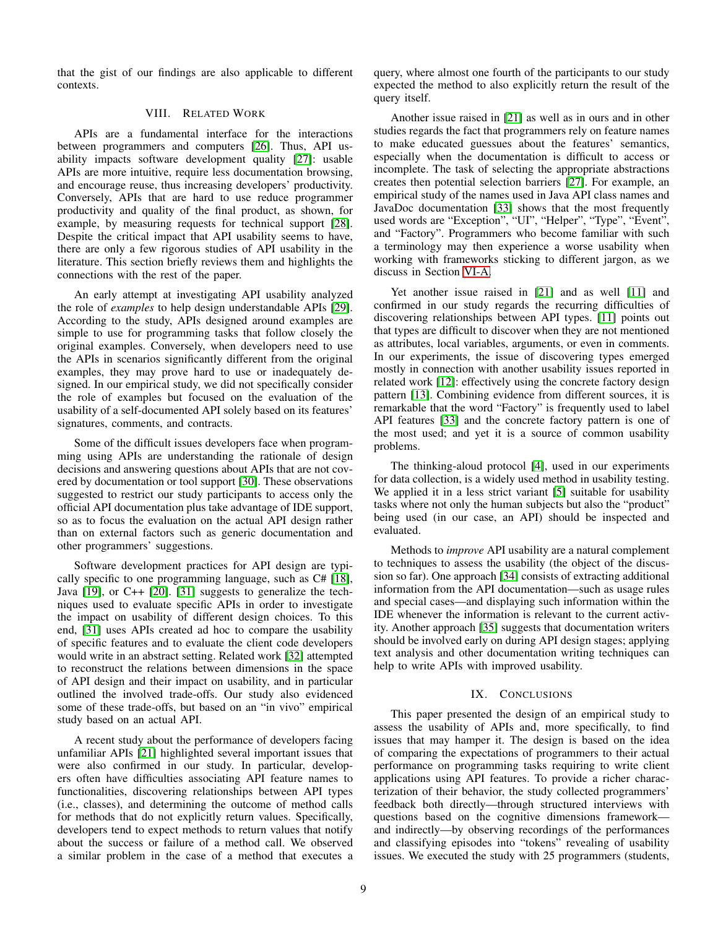<span id="page-8-0"></span>that the gist of our findings are also applicable to different contexts.

# VIII. RELATED WORK

APIs are a fundamental interface for the interactions between programmers and computers [\[26\]](#page-9-25). Thus, API usability impacts software development quality [\[27\]](#page-9-26): usable APIs are more intuitive, require less documentation browsing, and encourage reuse, thus increasing developers' productivity. Conversely, APIs that are hard to use reduce programmer productivity and quality of the final product, as shown, for example, by measuring requests for technical support [\[28\]](#page-9-27). Despite the critical impact that API usability seems to have, there are only a few rigorous studies of API usability in the literature. This section briefly reviews them and highlights the connections with the rest of the paper.

An early attempt at investigating API usability analyzed the role of *examples* to help design understandable APIs [\[29\]](#page-9-28). According to the study, APIs designed around examples are simple to use for programming tasks that follow closely the original examples. Conversely, when developers need to use the APIs in scenarios significantly different from the original examples, they may prove hard to use or inadequately designed. In our empirical study, we did not specifically consider the role of examples but focused on the evaluation of the usability of a self-documented API solely based on its features' signatures, comments, and contracts.

Some of the difficult issues developers face when programming using APIs are understanding the rationale of design decisions and answering questions about APIs that are not covered by documentation or tool support [\[30\]](#page-9-29). These observations suggested to restrict our study participants to access only the official API documentation plus take advantage of IDE support, so as to focus the evaluation on the actual API design rather than on external factors such as generic documentation and other programmers' suggestions.

Software development practices for API design are typically specific to one programming language, such as C# [\[18\]](#page-9-17), Java [\[19\]](#page-9-18), or C++ [\[20\]](#page-9-19). [\[31\]](#page-9-30) suggests to generalize the techniques used to evaluate specific APIs in order to investigate the impact on usability of different design choices. To this end, [\[31\]](#page-9-30) uses APIs created ad hoc to compare the usability of specific features and to evaluate the client code developers would write in an abstract setting. Related work [\[32\]](#page-9-31) attempted to reconstruct the relations between dimensions in the space of API design and their impact on usability, and in particular outlined the involved trade-offs. Our study also evidenced some of these trade-offs, but based on an "in vivo" empirical study based on an actual API.

A recent study about the performance of developers facing unfamiliar APIs [\[21\]](#page-9-20) highlighted several important issues that were also confirmed in our study. In particular, developers often have difficulties associating API feature names to functionalities, discovering relationships between API types (i.e., classes), and determining the outcome of method calls for methods that do not explicitly return values. Specifically, developers tend to expect methods to return values that notify about the success or failure of a method call. We observed a similar problem in the case of a method that executes a query, where almost one fourth of the participants to our study expected the method to also explicitly return the result of the query itself.

Another issue raised in [\[21\]](#page-9-20) as well as in ours and in other studies regards the fact that programmers rely on feature names to make educated guessues about the features' semantics, especially when the documentation is difficult to access or incomplete. The task of selecting the appropriate abstractions creates then potential selection barriers [\[27\]](#page-9-26). For example, an empirical study of the names used in Java API class names and JavaDoc documentation [\[33\]](#page-9-32) shows that the most frequently used words are "Exception", "UI", "Helper", "Type", "Event", and "Factory". Programmers who become familiar with such a terminology may then experience a worse usability when working with frameworks sticking to different jargon, as we discuss in Section [VI-A.](#page-6-1)

Yet another issue raised in [\[21\]](#page-9-20) and as well [\[11\]](#page-9-10) and confirmed in our study regards the recurring difficulties of discovering relationships between API types. [\[11\]](#page-9-10) points out that types are difficult to discover when they are not mentioned as attributes, local variables, arguments, or even in comments. In our experiments, the issue of discovering types emerged mostly in connection with another usability issues reported in related work [\[12\]](#page-9-11): effectively using the concrete factory design pattern [\[13\]](#page-9-12). Combining evidence from different sources, it is remarkable that the word "Factory" is frequently used to label API features [\[33\]](#page-9-32) and the concrete factory pattern is one of the most used; and yet it is a source of common usability problems.

The thinking-aloud protocol [\[4\]](#page-9-3), used in our experiments for data collection, is a widely used method in usability testing. We applied it in a less strict variant [\[5\]](#page-9-4) suitable for usability tasks where not only the human subjects but also the "product" being used (in our case, an API) should be inspected and evaluated.

Methods to *improve* API usability are a natural complement to techniques to assess the usability (the object of the discussion so far). One approach [\[34\]](#page-9-33) consists of extracting additional information from the API documentation—such as usage rules and special cases—and displaying such information within the IDE whenever the information is relevant to the current activity. Another approach [\[35\]](#page-9-34) suggests that documentation writers should be involved early on during API design stages; applying text analysis and other documentation writing techniques can help to write APIs with improved usability.

# IX. CONCLUSIONS

<span id="page-8-1"></span>This paper presented the design of an empirical study to assess the usability of APIs and, more specifically, to find issues that may hamper it. The design is based on the idea of comparing the expectations of programmers to their actual performance on programming tasks requiring to write client applications using API features. To provide a richer characterization of their behavior, the study collected programmers' feedback both directly—through structured interviews with questions based on the cognitive dimensions framework and indirectly—by observing recordings of the performances and classifying episodes into "tokens" revealing of usability issues. We executed the study with 25 programmers (students,